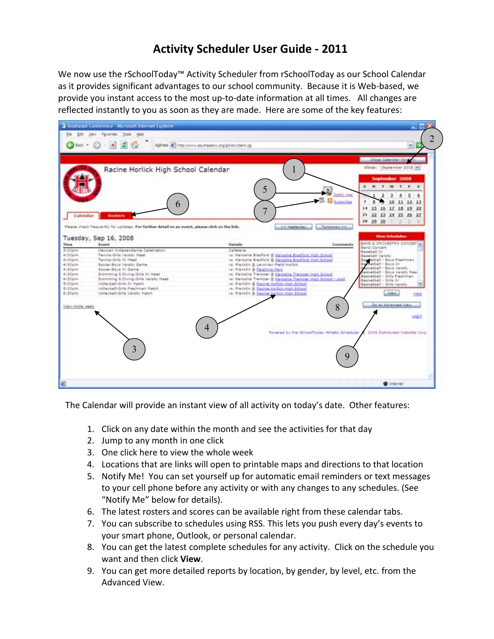## **Activity'Scheduler User'Guide 2 2011**

We now use the rSchoolToday™ Activity Scheduler from rSchoolToday as our School Calendar as it provides significant advantages to our school community. Because it is Web-based, we provide you instant access to the most up-to-date information at all times. All changes are reflected instantly to you as soon as they are made. Here are some of the key features:



The Calendar will provide an instant view of all activity on today's date. Other features:

- 1. Click on any date within the month and see the activities for that day
- 2. Jump to any month in one click
- 3. One click here to view the whole week
- 4. Locations that are links will open to printable maps and directions to that location
- 5. Notify Me! You can set yourself up for automatic email reminders or text messages to your cell phone before any activity or with any changes to any schedules. (See "Notify Me" below for details).
- 6. The latest rosters and scores can be available right from these calendar tabs.
- 7. You can subscribe to schedules using RSS. This lets you push every day's events to your smart phone, Outlook, or personal calendar.
- 8. You can get the latest complete schedules for any activity. Click on the schedule you want and then click View.
- 9. You can get more detailed reports by location, by gender, by level, etc. from the Advanced View.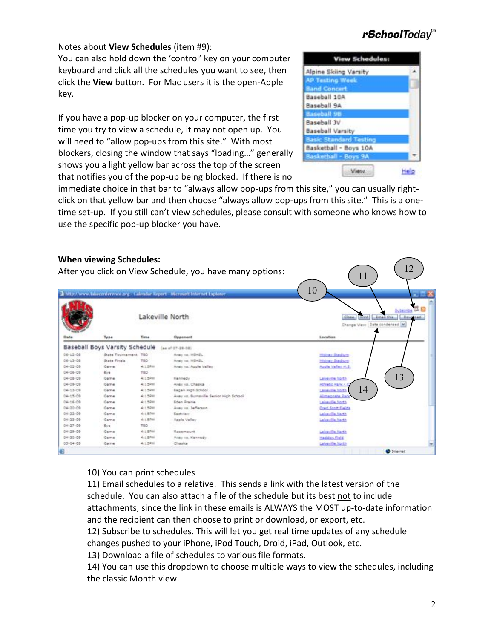Notes about **View Schedules** (item #9):

You can also hold down the 'control' key on your computer keyboard and click all the schedules you want to see, then click the **View** button. For Mac users it is the open-Apple key.

If you have a pop-up blocker on your computer, the first time you try to view a schedule, it may not open up. You will need to "allow pop-ups from this site." With most blockers, closing the window that says "loading..." generally shows you a light yellow bar across the top of the screen that notifies you of the pop-up being blocked. If there is no

#### **View Schedules: Alpine Skiing Varsity AP Testing Week Band Concert** Baseball 10A Baseball 9A **Racaball 98** Baseball JV **Baseball Varsity Basic Standard Te** Basketball - Boys 10A **Tadda** Boys 9A View. Help

immediate choice in that bar to "always allow pop-ups from this site," you can usually rightclick on that yellow bar and then choose "always allow pop-ups from this site." This is a onetime set-up. If you still can't view schedules, please consult with someone who knows how to use the specific pop-up blocker you have.

#### **When viewing Schedules:** 12 After you click on View Schedule, you have many options: 11 10 Thisp://www.lakaconference.org - Calendar Report - Microsoft Internet Explore . 适应 hassis Close [ Print] [ Email this ] [ Company] Lakeville North Change View: Date condensed to Type Time. Oppor Location Baseball Boys Varsity Schedule (as af 07-28-08) 06-12-08 State Tournament TBD Aver va. Miledi. **Miller Stedam** 06-13-08 State Finels TED-Avey va. Miledi, Hidney Stadium 04-03-09 Game: 4:150m Avey va. Apple Valley Apple Valley H.S. 04-06-09  $E_{14}$ TED<sup>1</sup> 13 04-08-09 Game 4:150m Kennedy Lakeville finith 04-09-09 **Game**  $4:15200$ Aler vs. Charles Athletic Park ( 1404-13-09  $413,5000$ **Game Began High School** Lakeville North 04-15-09 4:15PH vay vz. Burraville Senior High School Game Himagoata Pac 04-16-09 Game 4:150H **Eden Prairie** Lakeville Jorth  $04 - 30 - 09$ Game 4:150m Avey vs. Jefferson **Cred Scott Fields** 04-22-09 Game 4:15PH Easthiam Lakeville North  $04 - 23 - 09$ Game 4:150% Apple Valley Lakeville hight  $04 - 27 - 09$ in. TED  $04 - 29 - 09$ Game 4:150H Rosemou Lakeville North 04-30-09 Oame 4:15016 Anay vs. Kennedy Haddox Field 4:152% 05-54-09 **Game** Charlos Lakeville North

10) You can print schedules

11) Email schedules to a relative. This sends a link with the latest version of the schedule. You can also attach a file of the schedule but its best not to include attachments, since the link in these emails is ALWAYS the MOST up-to-date information and the recipient can then choose to print or download, or export, etc.

12) Subscribe to schedules. This will let you get real time updates of any schedule changes pushed to your iPhone, iPod Touch, Droid, iPad, Outlook, etc.

13) Download a file of schedules to various file formats.

14) You can use this dropdown to choose multiple ways to view the schedules, including the classic Month view.

# rSchoolToday<sup>"</sup>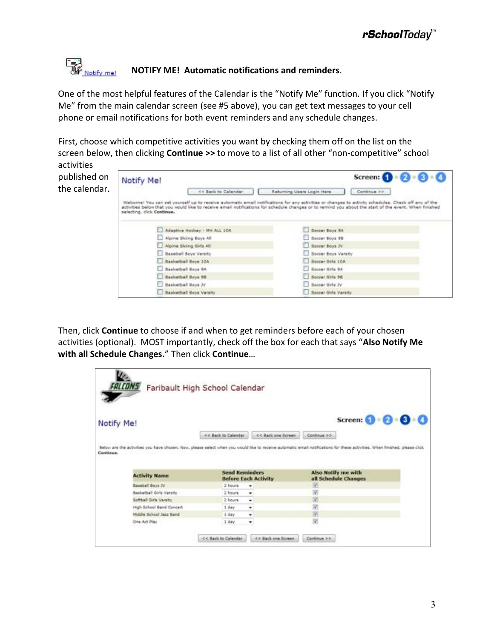## **By**<br>**Si**f <u>Notify me!</u> **''NOTIFY'ME!' Automatic notifications'and'reminders**.

One of the most helpful features of the Calendar is the "Notify Me" function. If you click "Notify Me" from the main calendar screen (see #5 above), you can get text messages to your cell phone or email notifications for both event reminders and any schedule changes.

First, choose which competitive activities you want by checking them off on the list on the screen below, then clicking **Continue** >> to move to a list of all other "non-competitive" school activities

published on the calendar.

|                            | << Back to Calendar          | Returning Users Login Here<br>Continue in                                                                                                                                                                                                                                                                    |
|----------------------------|------------------------------|--------------------------------------------------------------------------------------------------------------------------------------------------------------------------------------------------------------------------------------------------------------------------------------------------------------|
| selecting, click Continue, |                              | Welcome! You can set yourself up to receive automatic email notifications for any activities or changes to activity schedules. Check off any of the<br>activities below that you would like to receive email notifications for schedule changes or to remind you about the start of the event. When finished |
|                            | Adaptive Hockey - MH ALL 10A | Societ Boys SA                                                                                                                                                                                                                                                                                               |
| Alpine Skiing Boys All     |                              | Socoer Boys 98                                                                                                                                                                                                                                                                                               |
| Alpine Skiing Girls All    |                              | Socret Boys 2V                                                                                                                                                                                                                                                                                               |
| Baseball Boys Varsity      |                              | Societ Boys Varsity                                                                                                                                                                                                                                                                                          |
| Basicetball Boys 10A       |                              | Socrer Oiris 10A                                                                                                                                                                                                                                                                                             |
|                            |                              |                                                                                                                                                                                                                                                                                                              |
| Basketball Boys 9A         |                              | Socrar Dirts 9A                                                                                                                                                                                                                                                                                              |
| <b>Basketball Boys 98</b>  |                              | Socrer Girls 98                                                                                                                                                                                                                                                                                              |
| Basicathall Boys JV        |                              | Secret Girls 3V                                                                                                                                                                                                                                                                                              |

Then, click **Continue** to choose if and when to get reminders before each of your chosen activities (optional). MOST importantly, check off the box for each that says "Also Notify Me with all Schedule Changes." Then click Continue...

| Notify Me!                      |                                                      | Screen: $\bigcirc$ $\cdot$ $\bigcirc$<br>0(3)                                                                                                                                |
|---------------------------------|------------------------------------------------------|------------------------------------------------------------------------------------------------------------------------------------------------------------------------------|
|                                 | << Back one Screen<br><< Back to Calendar            | Continue >>                                                                                                                                                                  |
|                                 |                                                      |                                                                                                                                                                              |
|                                 |                                                      |                                                                                                                                                                              |
|                                 |                                                      | Below are the activities you have chosen. Now, please select when you would like to receive automatic erroll notifications for these activities. When finished, please click |
| Continue.                       |                                                      |                                                                                                                                                                              |
|                                 |                                                      |                                                                                                                                                                              |
|                                 |                                                      |                                                                                                                                                                              |
| <b>Activity Name</b>            | <b>Send Reminders</b><br><b>Before Each Activity</b> | Also Notify me with<br>all Schedule Changes                                                                                                                                  |
| Baseball Boys 3V                | 2 hours<br>۰                                         | v.                                                                                                                                                                           |
| <b>Basketball Girls Varsity</b> | 2 hours<br>٠                                         |                                                                                                                                                                              |
| Softball Girls Varsity          | 2 hours<br>٠                                         | V)                                                                                                                                                                           |
| High School Band Concert        | $1$ day<br>٠                                         | ¥,                                                                                                                                                                           |
| <b>Middle School Jarr Band</b>  | 1 day<br>۰                                           | V)                                                                                                                                                                           |
| One Art Play                    | $1$ day<br>٠                                         | 9                                                                                                                                                                            |